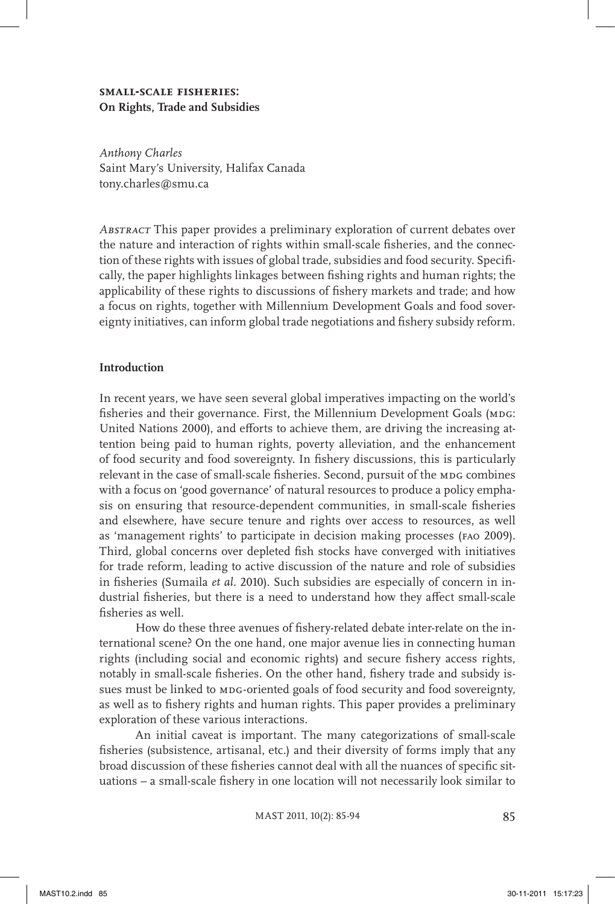# **small-scale fisheries: On Rights, Trade and Subsidies**

*Anthony Charles* Saint Mary's University, Halifax Canada tony.charles@smu.ca

*Abstract* This paper provides a preliminary exploration of current debates over the nature and interaction of rights within small-scale fisheries, and the connection of these rights with issues of global trade, subsidies and food security. Specifically, the paper highlights linkages between fishing rights and human rights; the applicability of these rights to discussions of fishery markets and trade; and how a focus on rights, together with Millennium Development Goals and food sovereignty initiatives, can inform global trade negotiations and fishery subsidy reform.

#### **Introduction**

In recent years, we have seen several global imperatives impacting on the world's fisheries and their governance. First, the Millennium Development Goals (MDG: United Nations 2000), and efforts to achieve them, are driving the increasing attention being paid to human rights, poverty alleviation, and the enhancement of food security and food sovereignty. In fishery discussions, this is particularly relevant in the case of small-scale fisheries. Second, pursuit of the MDG combines with a focus on 'good governance' of natural resources to produce a policy emphasis on ensuring that resource-dependent communities, in small-scale fisheries and elsewhere, have secure tenure and rights over access to resources, as well as 'management rights' to participate in decision making processes (fao 2009). Third, global concerns over depleted fish stocks have converged with initiatives for trade reform, leading to active discussion of the nature and role of subsidies in fisheries (Sumaila *et al.* 2010). Such subsidies are especially of concern in industrial fisheries, but there is a need to understand how they affect small-scale fisheries as well.

How do these three avenues of fishery-related debate inter-relate on the international scene? On the one hand, one major avenue lies in connecting human rights (including social and economic rights) and secure fishery access rights, notably in small-scale fisheries. On the other hand, fishery trade and subsidy issues must be linked to MDG-oriented goals of food security and food sovereignty, as well as to fishery rights and human rights. This paper provides a preliminary exploration of these various interactions.

An initial caveat is important. The many categorizations of small-scale fisheries (subsistence, artisanal, etc.) and their diversity of forms imply that any broad discussion of these fisheries cannot deal with all the nuances of specific situations – a small-scale fishery in one location will not necessarily look similar to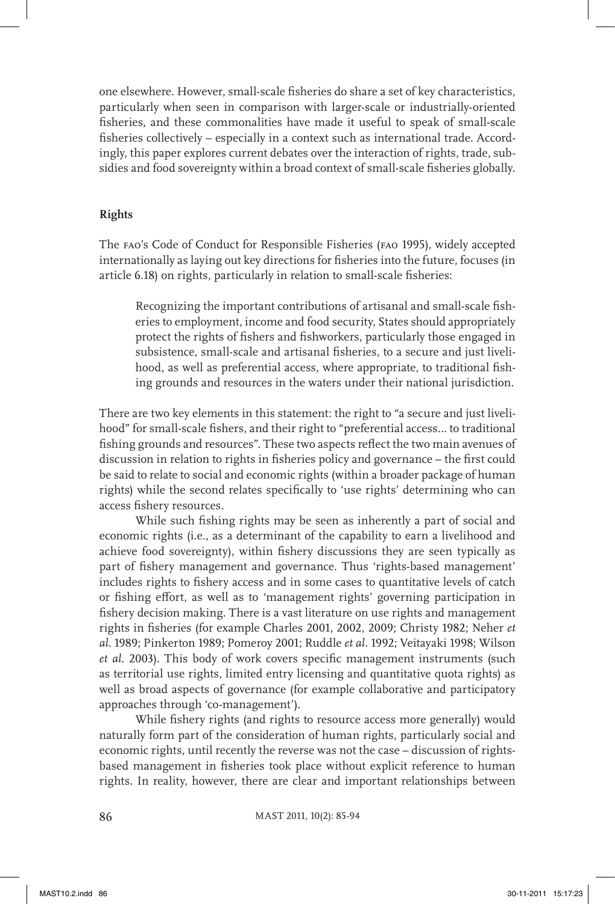one elsewhere. However, small-scale fisheries do share a set of key characteristics, particularly when seen in comparison with larger-scale or industrially-oriented fisheries, and these commonalities have made it useful to speak of small-scale fisheries collectively – especially in a context such as international trade. Accordingly, this paper explores current debates over the interaction of rights, trade, subsidies and food sovereignty within a broad context of small-scale fisheries globally.

# **Rights**

The fao's Code of Conduct for Responsible Fisheries (fao 1995), widely accepted internationally as laying out key directions for fisheries into the future, focuses (in article 6.18) on rights, particularly in relation to small-scale fisheries:

Recognizing the important contributions of artisanal and small-scale fisheries to employment, income and food security, States should appropriately protect the rights of fishers and fishworkers, particularly those engaged in subsistence, small-scale and artisanal fisheries, to a secure and just livelihood, as well as preferential access, where appropriate, to traditional fishing grounds and resources in the waters under their national jurisdiction.

There are two key elements in this statement: the right to "a secure and just livelihood" for small-scale fishers, and their right to "preferential access… to traditional fishing grounds and resources". These two aspects reflect the two main avenues of discussion in relation to rights in fisheries policy and governance – the first could be said to relate to social and economic rights (within a broader package of human rights) while the second relates specifically to 'use rights' determining who can access fishery resources.

While such fishing rights may be seen as inherently a part of social and economic rights (i.e., as a determinant of the capability to earn a livelihood and achieve food sovereignty), within fishery discussions they are seen typically as part of fishery management and governance. Thus 'rights-based management' includes rights to fishery access and in some cases to quantitative levels of catch or fishing effort, as well as to 'management rights' governing participation in fishery decision making. There is a vast literature on use rights and management rights in fisheries (for example Charles 2001, 2002, 2009; Christy 1982; Neher *et al.* 1989; Pinkerton 1989; Pomeroy 2001; Ruddle *et al.* 1992; Veitayaki 1998; Wilson *et al*. 2003). This body of work covers specific management instruments (such as territorial use rights, limited entry licensing and quantitative quota rights) as well as broad aspects of governance (for example collaborative and participatory approaches through 'co-management').

While fishery rights (and rights to resource access more generally) would naturally form part of the consideration of human rights, particularly social and economic rights, until recently the reverse was not the case – discussion of rightsbased management in fisheries took place without explicit reference to human rights. In reality, however, there are clear and important relationships between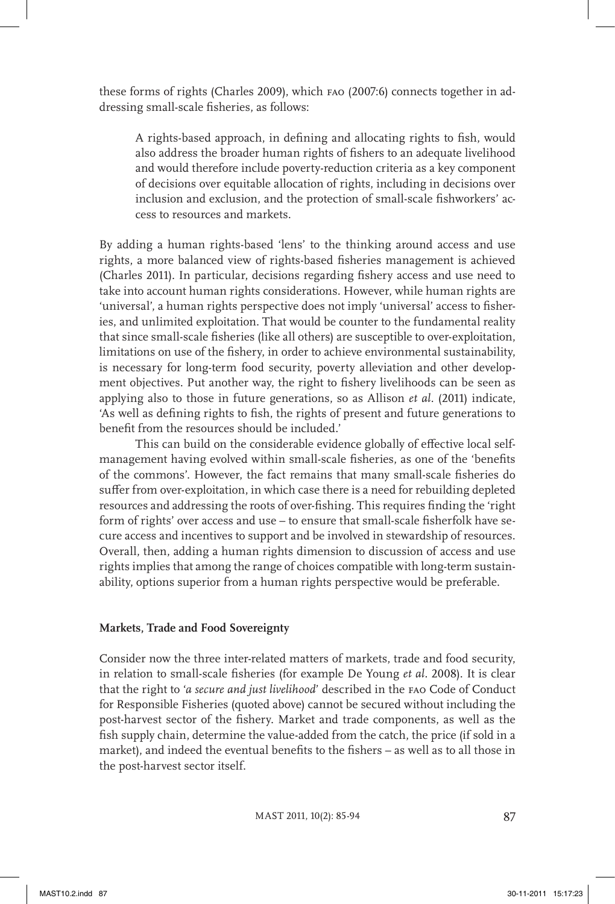these forms of rights (Charles 2009), which fao (2007:6) connects together in addressing small-scale fisheries, as follows:

A rights-based approach, in defining and allocating rights to fish, would also address the broader human rights of fishers to an adequate livelihood and would therefore include poverty-reduction criteria as a key component of decisions over equitable allocation of rights, including in decisions over inclusion and exclusion, and the protection of small-scale fishworkers' access to resources and markets.

By adding a human rights-based 'lens' to the thinking around access and use rights, a more balanced view of rights-based fisheries management is achieved (Charles 2011). In particular, decisions regarding fishery access and use need to take into account human rights considerations. However, while human rights are 'universal', a human rights perspective does not imply 'universal' access to fisheries, and unlimited exploitation. That would be counter to the fundamental reality that since small-scale fisheries (like all others) are susceptible to over-exploitation, limitations on use of the fishery, in order to achieve environmental sustainability, is necessary for long-term food security, poverty alleviation and other development objectives. Put another way, the right to fishery livelihoods can be seen as applying also to those in future generations, so as Allison *et al.* (2011) indicate, 'As well as defining rights to fish, the rights of present and future generations to benefit from the resources should be included.'

This can build on the considerable evidence globally of effective local selfmanagement having evolved within small-scale fisheries, as one of the 'benefits of the commons'. However, the fact remains that many small-scale fisheries do suffer from over-exploitation, in which case there is a need for rebuilding depleted resources and addressing the roots of over-fishing. This requires finding the 'right form of rights' over access and use – to ensure that small-scale fisherfolk have secure access and incentives to support and be involved in stewardship of resources. Overall, then, adding a human rights dimension to discussion of access and use rights implies that among the range of choices compatible with long-term sustainability, options superior from a human rights perspective would be preferable.

#### **Markets, Trade and Food Sovereignty**

Consider now the three inter-related matters of markets, trade and food security, in relation to small-scale fisheries (for example De Young *et al.* 2008). It is clear that the right to '*a secure and just livelihood*' described in the fao Code of Conduct for Responsible Fisheries (quoted above) cannot be secured without including the post-harvest sector of the fishery. Market and trade components, as well as the fish supply chain, determine the value-added from the catch, the price (if sold in a market), and indeed the eventual benefits to the fishers – as well as to all those in the post-harvest sector itself.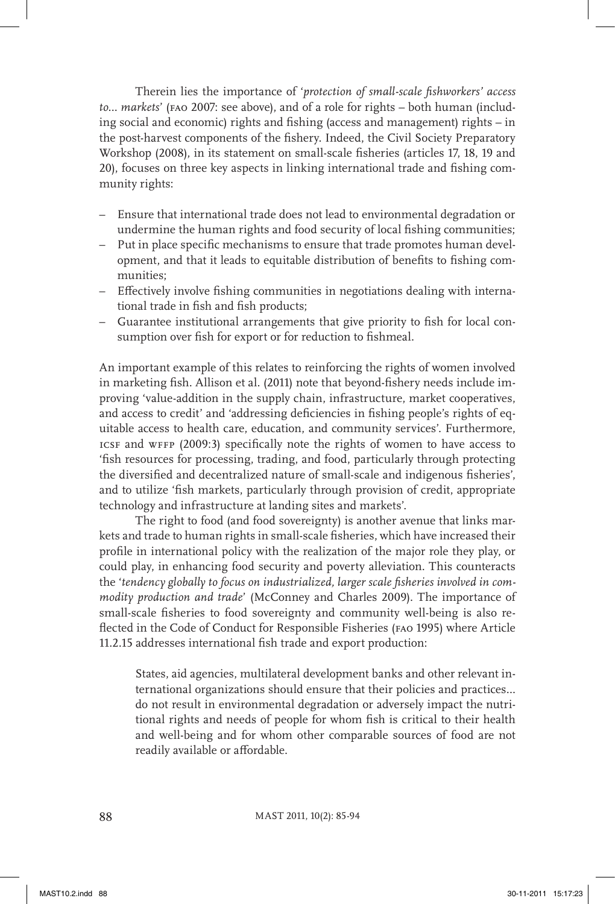Therein lies the importance of '*protection of small-scale fishworkers' access to… markets*' (fao 2007: see above), and of a role for rights – both human (including social and economic) rights and fishing (access and management) rights – in the post-harvest components of the fishery. Indeed, the Civil Society Preparatory Workshop (2008), in its statement on small-scale fisheries (articles 17, 18, 19 and 20), focuses on three key aspects in linking international trade and fishing community rights:

- Ensure that international trade does not lead to environmental degradation or undermine the human rights and food security of local fishing communities;
- Put in place specific mechanisms to ensure that trade promotes human development, and that it leads to equitable distribution of benefits to fishing communities;
- Effectively involve fishing communities in negotiations dealing with international trade in fish and fish products;
- Guarantee institutional arrangements that give priority to fish for local consumption over fish for export or for reduction to fishmeal.

An important example of this relates to reinforcing the rights of women involved in marketing fish. Allison et al. (2011) note that beyond-fishery needs include improving 'value-addition in the supply chain, infrastructure, market cooperatives, and access to credit' and 'addressing deficiencies in fishing people's rights of equitable access to health care, education, and community services'. Furthermore, icsf and wffp (2009:3) specifically note the rights of women to have access to 'fish resources for processing, trading, and food, particularly through protecting the diversified and decentralized nature of small-scale and indigenous fisheries', and to utilize 'fish markets, particularly through provision of credit, appropriate technology and infrastructure at landing sites and markets'.

The right to food (and food sovereignty) is another avenue that links markets and trade to human rights in small-scale fisheries, which have increased their profile in international policy with the realization of the major role they play, or could play, in enhancing food security and poverty alleviation. This counteracts the '*tendency globally to focus on industrialized, larger scale fisheries involved in commodity production and trade*' (McConney and Charles 2009). The importance of small-scale fisheries to food sovereignty and community well-being is also reflected in the Code of Conduct for Responsible Fisheries (fao 1995) where Article 11.2.15 addresses international fish trade and export production:

States, aid agencies, multilateral development banks and other relevant international organizations should ensure that their policies and practices… do not result in environmental degradation or adversely impact the nutritional rights and needs of people for whom fish is critical to their health and well-being and for whom other comparable sources of food are not readily available or affordable.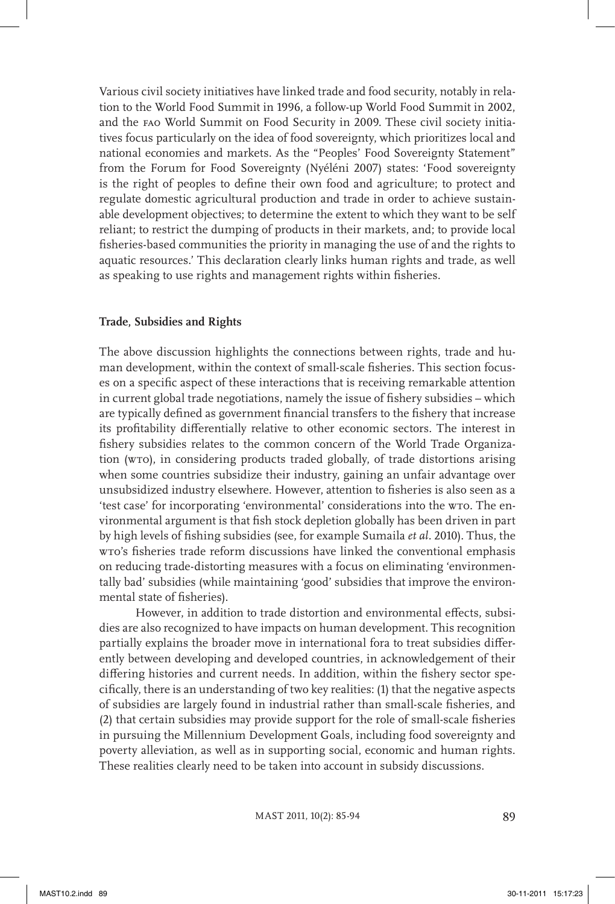Various civil society initiatives have linked trade and food security, notably in relation to the World Food Summit in 1996, a follow-up World Food Summit in 2002, and the fao World Summit on Food Security in 2009. These civil society initiatives focus particularly on the idea of food sovereignty, which prioritizes local and national economies and markets. As the "Peoples' Food Sovereignty Statement" from the Forum for Food Sovereignty (Nyéléni 2007) states: 'Food sovereignty is the right of peoples to define their own food and agriculture; to protect and regulate domestic agricultural production and trade in order to achieve sustainable development objectives; to determine the extent to which they want to be self reliant; to restrict the dumping of products in their markets, and; to provide local fisheries-based communities the priority in managing the use of and the rights to aquatic resources.' This declaration clearly links human rights and trade, as well as speaking to use rights and management rights within fisheries.

## **Trade, Subsidies and Rights**

The above discussion highlights the connections between rights, trade and human development, within the context of small-scale fisheries. This section focuses on a specific aspect of these interactions that is receiving remarkable attention in current global trade negotiations, namely the issue of fishery subsidies – which are typically defined as government financial transfers to the fishery that increase its profitability differentially relative to other economic sectors. The interest in fishery subsidies relates to the common concern of the World Trade Organization (wto), in considering products traded globally, of trade distortions arising when some countries subsidize their industry, gaining an unfair advantage over unsubsidized industry elsewhere. However, attention to fisheries is also seen as a 'test case' for incorporating 'environmental' considerations into the wro. The environmental argument is that fish stock depletion globally has been driven in part by high levels of fishing subsidies (see, for example Sumaila *et al.* 2010). Thus, the wto's fisheries trade reform discussions have linked the conventional emphasis on reducing trade-distorting measures with a focus on eliminating 'environmentally bad' subsidies (while maintaining 'good' subsidies that improve the environmental state of fisheries).

However, in addition to trade distortion and environmental effects, subsidies are also recognized to have impacts on human development. This recognition partially explains the broader move in international fora to treat subsidies differently between developing and developed countries, in acknowledgement of their differing histories and current needs. In addition, within the fishery sector specifically, there is an understanding of two key realities: (1) that the negative aspects of subsidies are largely found in industrial rather than small-scale fisheries, and (2) that certain subsidies may provide support for the role of small-scale fisheries in pursuing the Millennium Development Goals, including food sovereignty and poverty alleviation, as well as in supporting social, economic and human rights. These realities clearly need to be taken into account in subsidy discussions.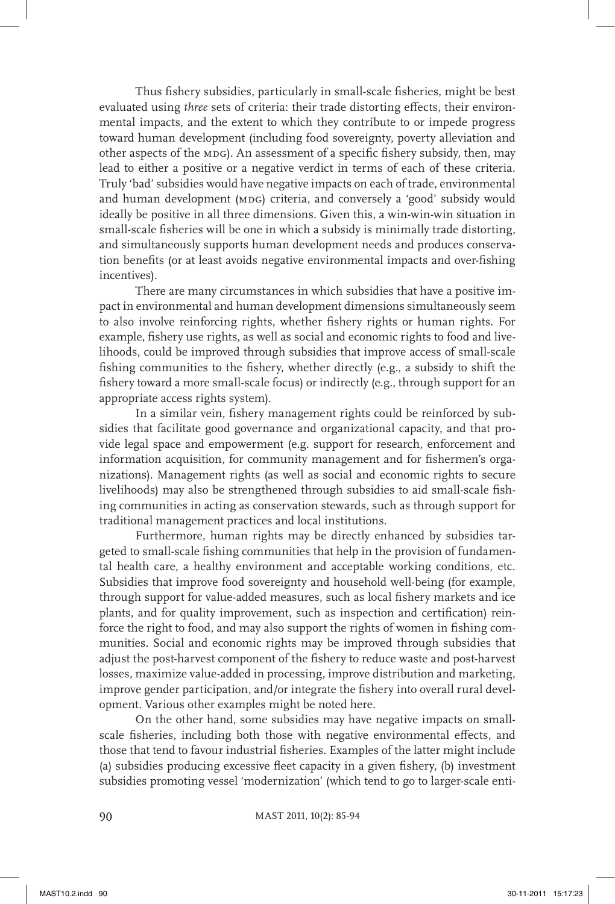Thus fishery subsidies, particularly in small-scale fisheries, might be best evaluated using *three* sets of criteria: their trade distorting effects, their environmental impacts, and the extent to which they contribute to or impede progress toward human development (including food sovereignty, poverty alleviation and other aspects of the MDG). An assessment of a specific fishery subsidy, then, may lead to either a positive or a negative verdict in terms of each of these criteria. Truly 'bad' subsidies would have negative impacts on each of trade, environmental and human development (MDG) criteria, and conversely a 'good' subsidy would ideally be positive in all three dimensions. Given this, a win-win-win situation in small-scale fisheries will be one in which a subsidy is minimally trade distorting, and simultaneously supports human development needs and produces conservation benefits (or at least avoids negative environmental impacts and over-fishing incentives).

There are many circumstances in which subsidies that have a positive impact in environmental and human development dimensions simultaneously seem to also involve reinforcing rights, whether fishery rights or human rights. For example, fishery use rights, as well as social and economic rights to food and livelihoods, could be improved through subsidies that improve access of small-scale fishing communities to the fishery, whether directly (e.g., a subsidy to shift the fishery toward a more small-scale focus) or indirectly (e.g., through support for an appropriate access rights system).

In a similar vein, fishery management rights could be reinforced by subsidies that facilitate good governance and organizational capacity, and that provide legal space and empowerment (e.g. support for research, enforcement and information acquisition, for community management and for fishermen's organizations). Management rights (as well as social and economic rights to secure livelihoods) may also be strengthened through subsidies to aid small-scale fishing communities in acting as conservation stewards, such as through support for traditional management practices and local institutions.

Furthermore, human rights may be directly enhanced by subsidies targeted to small-scale fishing communities that help in the provision of fundamental health care, a healthy environment and acceptable working conditions, etc. Subsidies that improve food sovereignty and household well-being (for example, through support for value-added measures, such as local fishery markets and ice plants, and for quality improvement, such as inspection and certification) reinforce the right to food, and may also support the rights of women in fishing communities. Social and economic rights may be improved through subsidies that adjust the post-harvest component of the fishery to reduce waste and post-harvest losses, maximize value-added in processing, improve distribution and marketing, improve gender participation, and/or integrate the fishery into overall rural development. Various other examples might be noted here.

On the other hand, some subsidies may have negative impacts on smallscale fisheries, including both those with negative environmental effects, and those that tend to favour industrial fisheries. Examples of the latter might include (a) subsidies producing excessive fleet capacity in a given fishery, (b) investment subsidies promoting vessel 'modernization' (which tend to go to larger-scale enti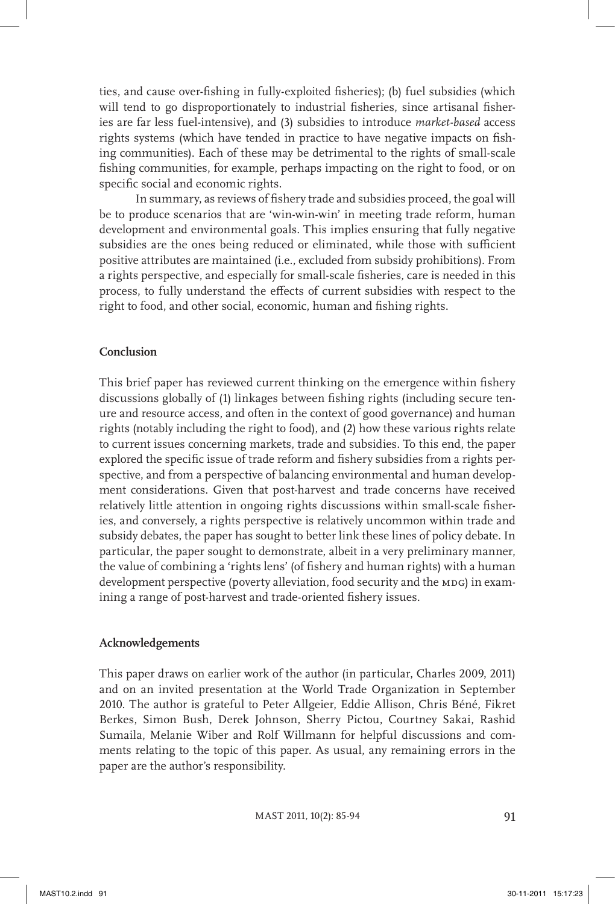ties, and cause over-fishing in fully-exploited fisheries); (b) fuel subsidies (which will tend to go disproportionately to industrial fisheries, since artisanal fisheries are far less fuel-intensive), and (3) subsidies to introduce *market-based* access rights systems (which have tended in practice to have negative impacts on fishing communities). Each of these may be detrimental to the rights of small-scale fishing communities, for example, perhaps impacting on the right to food, or on specific social and economic rights.

In summary, as reviews of fishery trade and subsidies proceed, the goal will be to produce scenarios that are 'win-win-win' in meeting trade reform, human development and environmental goals. This implies ensuring that fully negative subsidies are the ones being reduced or eliminated, while those with sufficient positive attributes are maintained (i.e., excluded from subsidy prohibitions). From a rights perspective, and especially for small-scale fisheries, care is needed in this process, to fully understand the effects of current subsidies with respect to the right to food, and other social, economic, human and fishing rights.

## **Conclusion**

This brief paper has reviewed current thinking on the emergence within fishery discussions globally of (1) linkages between fishing rights (including secure tenure and resource access, and often in the context of good governance) and human rights (notably including the right to food), and (2) how these various rights relate to current issues concerning markets, trade and subsidies. To this end, the paper explored the specific issue of trade reform and fishery subsidies from a rights perspective, and from a perspective of balancing environmental and human development considerations. Given that post-harvest and trade concerns have received relatively little attention in ongoing rights discussions within small-scale fisheries, and conversely, a rights perspective is relatively uncommon within trade and subsidy debates, the paper has sought to better link these lines of policy debate. In particular, the paper sought to demonstrate, albeit in a very preliminary manner, the value of combining a 'rights lens' (of fishery and human rights) with a human development perspective (poverty alleviation, food security and the MDG) in examining a range of post-harvest and trade-oriented fishery issues.

#### **Acknowledgements**

This paper draws on earlier work of the author (in particular, Charles 2009, 2011) and on an invited presentation at the World Trade Organization in September 2010. The author is grateful to Peter Allgeier, Eddie Allison, Chris Béné, Fikret Berkes, Simon Bush, Derek Johnson, Sherry Pictou, Courtney Sakai, Rashid Sumaila, Melanie Wiber and Rolf Willmann for helpful discussions and comments relating to the topic of this paper. As usual, any remaining errors in the paper are the author's responsibility.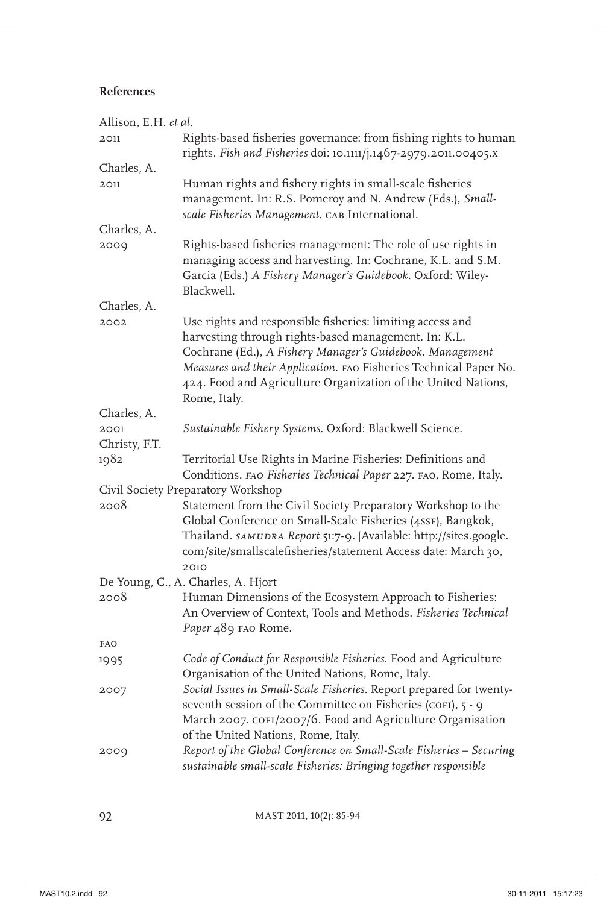# **References**

| Allison, E.H. et al.               |                                                                                                                                                                                                                                                                                                                                      |  |
|------------------------------------|--------------------------------------------------------------------------------------------------------------------------------------------------------------------------------------------------------------------------------------------------------------------------------------------------------------------------------------|--|
| 2011                               | Rights-based fisheries governance: from fishing rights to human<br>rights. Fish and Fisheries doi: 10.1111/j.1467-2979.2011.00405.x                                                                                                                                                                                                  |  |
| Charles, A.                        |                                                                                                                                                                                                                                                                                                                                      |  |
| 2011                               | Human rights and fishery rights in small-scale fisheries<br>management. In: R.S. Pomeroy and N. Andrew (Eds.), Small-<br>scale Fisheries Management. CAB International.                                                                                                                                                              |  |
| Charles, A.                        |                                                                                                                                                                                                                                                                                                                                      |  |
| 2009                               | Rights-based fisheries management: The role of use rights in<br>managing access and harvesting. In: Cochrane, K.L. and S.M.<br>Garcia (Eds.) A Fishery Manager's Guidebook. Oxford: Wiley-<br>Blackwell.                                                                                                                             |  |
| Charles, A.                        |                                                                                                                                                                                                                                                                                                                                      |  |
| 2002                               | Use rights and responsible fisheries: limiting access and<br>harvesting through rights-based management. In: K.L.<br>Cochrane (Ed.), A Fishery Manager's Guidebook. Management<br>Measures and their Application. FAO Fisheries Technical Paper No.<br>424. Food and Agriculture Organization of the United Nations,<br>Rome, Italy. |  |
| Charles, A.                        |                                                                                                                                                                                                                                                                                                                                      |  |
| 2001<br>Christy, F.T.              | Sustainable Fishery Systems. Oxford: Blackwell Science.                                                                                                                                                                                                                                                                              |  |
| 1982                               | Territorial Use Rights in Marine Fisheries: Definitions and<br>Conditions. FAO Fisheries Technical Paper 227. FAO, Rome, Italy.                                                                                                                                                                                                      |  |
| Civil Society Preparatory Workshop |                                                                                                                                                                                                                                                                                                                                      |  |
| 2008                               | Statement from the Civil Society Preparatory Workshop to the<br>Global Conference on Small-Scale Fisheries (4ssF), Bangkok,<br>Thailand. SAMUDRA Report 51:7-9. [Available: http://sites.google.<br>com/site/smallscalefisheries/statement Access date: March 30,<br>2010                                                            |  |
|                                    | De Young, C., A. Charles, A. Hjort                                                                                                                                                                                                                                                                                                   |  |
| 2008                               | Human Dimensions of the Ecosystem Approach to Fisheries:<br>An Overview of Context, Tools and Methods. Fisheries Technical<br>Paper 489 FAO Rome.                                                                                                                                                                                    |  |
| <b>FAO</b>                         |                                                                                                                                                                                                                                                                                                                                      |  |
| 1995                               | Code of Conduct for Responsible Fisheries. Food and Agriculture<br>Organisation of the United Nations, Rome, Italy.                                                                                                                                                                                                                  |  |
| 2007                               | Social Issues in Small-Scale Fisheries. Report prepared for twenty-<br>seventh session of the Committee on Fisheries (COFI), 5 - 9<br>March 2007. COFI/2007/6. Food and Agriculture Organisation<br>of the United Nations, Rome, Italy.                                                                                              |  |
| 2009                               | Report of the Global Conference on Small-Scale Fisheries - Securing<br>sustainable small-scale Fisheries: Bringing together responsible                                                                                                                                                                                              |  |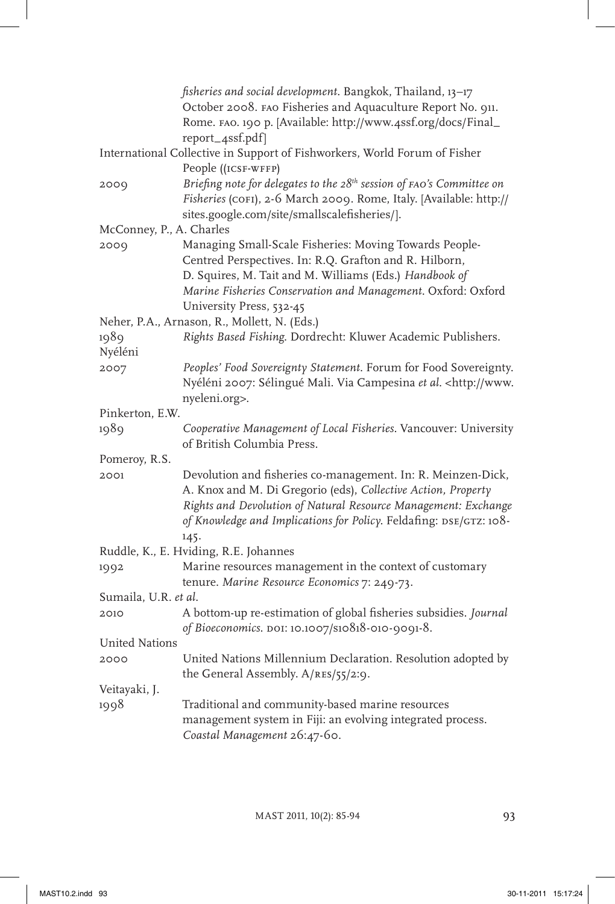|                          | fisheries and social development. Bangkok, Thailand, 13-17<br>October 2008. FAO Fisheries and Aquaculture Report No. 911.<br>Rome. FAO. 190 p. [Available: http://www.4ssf.org/docs/Final_<br>report_4ssf.pdf]                                                                |
|--------------------------|-------------------------------------------------------------------------------------------------------------------------------------------------------------------------------------------------------------------------------------------------------------------------------|
|                          | International Collective in Support of Fishworkers, World Forum of Fisher<br>People ((ICSF-WFFP)                                                                                                                                                                              |
| 2009                     | Briefing note for delegates to the 28 <sup>th</sup> session of FAO's Committee on<br>Fisheries (COFI), 2-6 March 2009. Rome, Italy. [Available: http://<br>sites.google.com/site/smallscalefisheries/).                                                                       |
| McConney, P., A. Charles |                                                                                                                                                                                                                                                                               |
| 2009                     | Managing Small-Scale Fisheries: Moving Towards People-<br>Centred Perspectives. In: R.Q. Grafton and R. Hilborn,<br>D. Squires, M. Tait and M. Williams (Eds.) Handbook of<br>Marine Fisheries Conservation and Management. Oxford: Oxford<br>University Press, 532-45        |
|                          | Neher, P.A., Arnason, R., Mollett, N. (Eds.)                                                                                                                                                                                                                                  |
| 1989<br>Nyéléni          | Rights Based Fishing. Dordrecht: Kluwer Academic Publishers.                                                                                                                                                                                                                  |
| 2007                     | Peoples' Food Sovereignty Statement. Forum for Food Sovereignty.<br>Nyéléni 2007: Sélingué Mali. Via Campesina et al. < http://www.<br>nyeleni.org>.                                                                                                                          |
| Pinkerton, E.W.          |                                                                                                                                                                                                                                                                               |
| 1989                     | Cooperative Management of Local Fisheries. Vancouver: University<br>of British Columbia Press.                                                                                                                                                                                |
| Pomeroy, R.S.            |                                                                                                                                                                                                                                                                               |
| 2001                     | Devolution and fisheries co-management. In: R. Meinzen-Dick,<br>A. Knox and M. Di Gregorio (eds), Collective Action, Property<br>Rights and Devolution of Natural Resource Management: Exchange<br>of Knowledge and Implications for Policy. Feldafing: DSE/GTZ: 108-<br>145. |
|                          | Ruddle, K., E. Hviding, R.E. Johannes                                                                                                                                                                                                                                         |
| 1992                     | Marine resources management in the context of customary<br>tenure. Marine Resource Economics 7: 249-73.                                                                                                                                                                       |
| Sumaila, U.R. et al.     |                                                                                                                                                                                                                                                                               |
| 2010                     | A bottom-up re-estimation of global fisheries subsidies. Journal<br>of Bioeconomics. DOI: 10.1007/S10818-010-9091-8.                                                                                                                                                          |
| United Nations           |                                                                                                                                                                                                                                                                               |
| 2000                     | United Nations Millennium Declaration. Resolution adopted by<br>the General Assembly. A/RES/55/2:9.                                                                                                                                                                           |
| Veitayaki, J.            |                                                                                                                                                                                                                                                                               |
| 1998                     | Traditional and community-based marine resources<br>management system in Fiji: an evolving integrated process.<br>Coastal Management 26:47-60.                                                                                                                                |